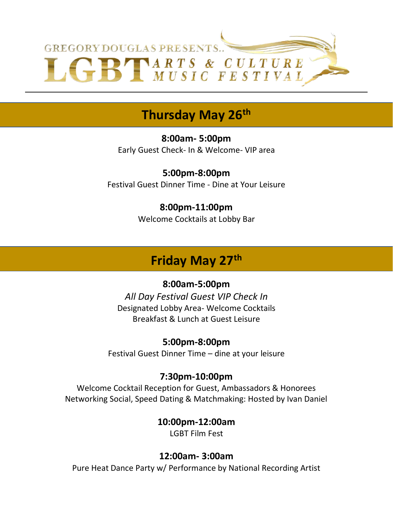

## **Thursday May 26th**

**8:00am- 5:00pm**  Early Guest Check- In & Welcome- VIP area

**5:00pm-8:00pm** Festival Guest Dinner Time - Dine at Your Leisure

#### **8:00pm-11:00pm**

Welcome Cocktails at Lobby Bar

## **Friday May 27th**

#### **8:00am-5:00pm**

*All Day Festival Guest VIP Check In* Designated Lobby Area- Welcome Cocktails Breakfast & Lunch at Guest Leisure

#### **5:00pm-8:00pm**

Festival Guest Dinner Time – dine at your leisure

#### **7:30pm-10:00pm**

Welcome Cocktail Reception for Guest, Ambassadors & Honorees Networking Social, Speed Dating & Matchmaking: Hosted by Ivan Daniel

> **10:00pm-12:00am** LGBT Film Fest

#### **12:00am- 3:00am**

Pure Heat Dance Party w/ Performance by National Recording Artist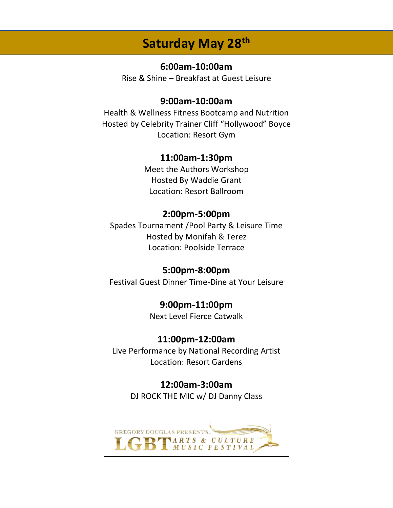## **Saturday May 28th**

#### **6:00am-10:00am**

Rise & Shine – Breakfast at Guest Leisure

#### **9:00am-10:00am**

Health & Wellness Fitness Bootcamp and Nutrition Hosted by Celebrity Trainer Cliff "Hollywood" Boyce Location: Resort Gym

#### **11:00am-1:30pm**

Meet the Authors Workshop Hosted By Waddie Grant Location: Resort Ballroom

#### **2:00pm-5:00pm**

Spades Tournament /Pool Party & Leisure Time Hosted by Monifah & Terez Location: Poolside Terrace

#### **5:00pm-8:00pm**

Festival Guest Dinner Time-Dine at Your Leisure

#### **9:00pm-11:00pm**

Next Level Fierce Catwalk

#### **11:00pm-12:00am**

Live Performance by National Recording Artist Location: Resort Gardens

#### **12:00am-3:00am**

DJ ROCK THE MIC w/ DJ Danny Class

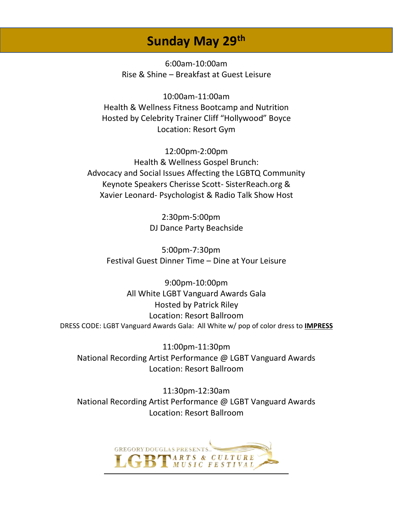## **Sunday May 29th**

6:00am-10:00am Rise & Shine – Breakfast at Guest Leisure

10:00am-11:00am Health & Wellness Fitness Bootcamp and Nutrition Hosted by Celebrity Trainer Cliff "Hollywood" Boyce Location: Resort Gym

12:00pm-2:00pm Health & Wellness Gospel Brunch: Advocacy and Social Issues Affecting the LGBTQ Community Keynote Speakers Cherisse Scott- SisterReach.org & Xavier Leonard- Psychologist & Radio Talk Show Host

> 2:30pm-5:00pm DJ Dance Party Beachside

5:00pm-7:30pm Festival Guest Dinner Time – Dine at Your Leisure

9:00pm-10:00pm All White LGBT Vanguard Awards Gala Hosted by Patrick Riley Location: Resort Ballroom DRESS CODE: LGBT Vanguard Awards Gala: All White w/ pop of color dress to **IMPRESS**

11:00pm-11:30pm National Recording Artist Performance @ LGBT Vanguard Awards Location: Resort Ballroom

11:30pm-12:30am National Recording Artist Performance @ LGBT Vanguard Awards Location: Resort Ballroom